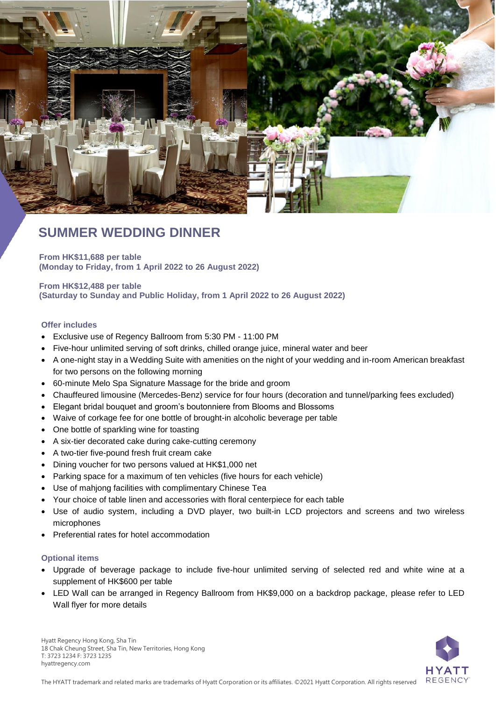

# **SUMMER WEDDING DINNER**

**From HK\$11,688 per table (Monday to Friday, from 1 April 2022 to 26 August 2022)**

## **From HK\$12,488 per table (Saturday to Sunday and Public Holiday, from 1 April 2022 to 26 August 2022)**

#### **Offer includes**

- Exclusive use of Regency Ballroom from 5:30 PM 11:00 PM
- Five-hour unlimited serving of soft drinks, chilled orange juice, mineral water and beer
- A one-night stay in a Wedding Suite with amenities on the night of your wedding and in-room American breakfast for two persons on the following morning
- 60-minute Melo Spa Signature Massage for the bride and groom
- Chauffeured limousine (Mercedes-Benz) service for four hours (decoration and tunnel/parking fees excluded)
- Elegant bridal bouquet and groom's boutonniere from Blooms and Blossoms
- Waive of corkage fee for one bottle of brought-in alcoholic beverage per table
- One bottle of sparkling wine for toasting
- A six-tier decorated cake during cake-cutting ceremony
- A two-tier five-pound fresh fruit cream cake
- Dining voucher for two persons valued at HK\$1,000 net
- Parking space for a maximum of ten vehicles (five hours for each vehicle)
- Use of mahjong facilities with complimentary Chinese Tea
- Your choice of table linen and accessories with floral centerpiece for each table
- Use of audio system, including a DVD player, two built-in LCD projectors and screens and two wireless microphones
- Preferential rates for hotel accommodation

#### **Optional items**

- Upgrade of beverage package to include five-hour unlimited serving of selected red and white wine at a supplement of HK\$600 per table
- LED Wall can be arranged in Regency Ballroom from HK\$9,000 on a backdrop package, please refer to LED Wall flyer for more details



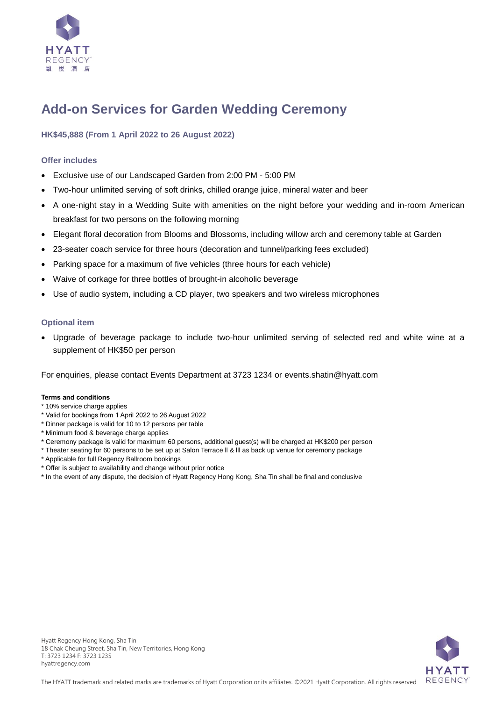

# **Add-on Services for Garden Wedding Ceremony**

# **HK\$45,888 (From 1 April 2022 to 26 August 2022)**

## **Offer includes**

- Exclusive use of our Landscaped Garden from 2:00 PM 5:00 PM
- Two-hour unlimited serving of soft drinks, chilled orange juice, mineral water and beer
- A one-night stay in a Wedding Suite with amenities on the night before your wedding and in-room American breakfast for two persons on the following morning
- Elegant floral decoration from Blooms and Blossoms, including willow arch and ceremony table at Garden
- 23-seater coach service for three hours (decoration and tunnel/parking fees excluded)
- Parking space for a maximum of five vehicles (three hours for each vehicle)
- Waive of corkage for three bottles of brought-in alcoholic beverage
- Use of audio system, including a CD player, two speakers and two wireless microphones

#### **Optional item**

 Upgrade of beverage package to include two-hour unlimited serving of selected red and white wine at a supplement of HK\$50 per person

For enquiries, please contact Events Department at 3723 1234 or [events.shatin@hyatt.com](mailto:events.shatin@hyatt.com)

#### **Terms and conditions**

- \* 10% service charge applies
- \* Valid for bookings from 1 April 2022 to 26 August 2022
- \* Dinner package is valid for 10 to 12 persons per table
- \* Minimum food & beverage charge applies
- \* Ceremony package is valid for maximum 60 persons, additional guest(s) will be charged at HK\$200 per person
- \* Theater seating for 60 persons to be set up at Salon Terrace ll & lll as back up venue for ceremony package
- \* Applicable for full Regency Ballroom bookings
- \* Offer is subject to availability and change without prior notice
- \* In the event of any dispute, the decision of Hyatt Regency Hong Kong, Sha Tin shall be final and conclusive

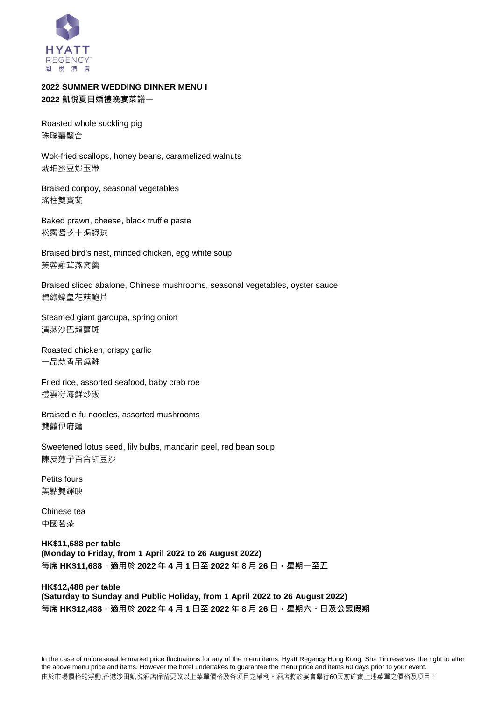

# **2022 SUMMER WEDDING DINNER MENU I 2022 凱悅夏日婚禮晚宴菜譜一**

Roasted whole suckling pig 珠聯囍璧合

Wok-fried scallops, honey beans, caramelized walnuts 琥珀蜜豆炒玉帶

Braised conpoy, seasonal vegetables 瑤柱雙寶蔬

Baked prawn, cheese, black truffle paste 松露醬芝士焗蝦球

Braised bird's nest, minced chicken, egg white soup 芙蓉雞茸燕窩羹

Braised sliced abalone, Chinese mushrooms, seasonal vegetables, oyster sauce 碧綠蠔皇花菇鮑片

Steamed giant garoupa, spring onion 清蒸沙巴龍躉斑

Roasted chicken, crispy garlic 一品蒜香吊燒雞

Fried rice, assorted seafood, baby crab roe 禮雲籽海鮮炒飯

Braised e-fu noodles, assorted mushrooms 雙囍伊府麵

Sweetened lotus seed, lily bulbs, mandarin peel, red bean soup 陳皮蓮子百合紅豆沙

Petits fours 美點雙輝映

Chinese tea 中國茗茶

**HK\$11,688 per table (Monday to Friday, from 1 April 2022 to 26 August 2022) 每席 HK\$11,688,適用於 2022 年 4 月 1 日至 2022 年 8 月 26 日,星期一至五**

## **HK\$12,488 per table (Saturday to Sunday and Public Holiday, from 1 April 2022 to 26 August 2022) 每席 HK\$12,488,適用於 2022 年 4 月 1 日至 2022 年 8 月 26 日,星期六、日及公眾假期**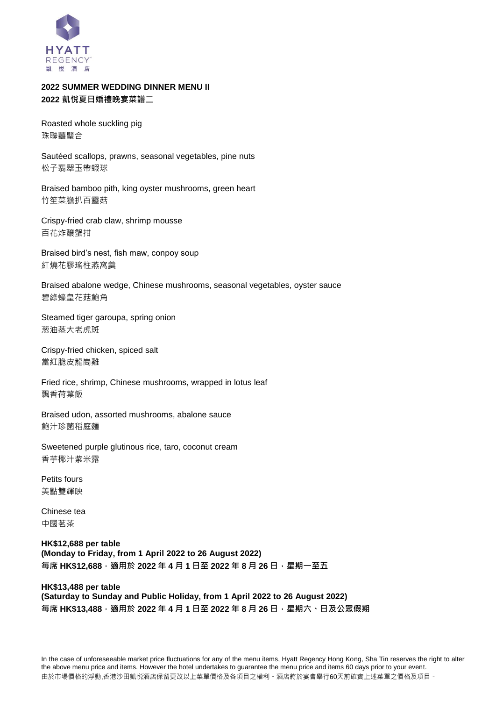

# **2022 SUMMER WEDDING DINNER MENU II 2022 凱悅夏日婚禮晚宴菜譜二**

Roasted whole suckling pig 珠聯囍璧合

Sautéed scallops, prawns, seasonal vegetables, pine nuts 松子翡翠玉帶蝦球

Braised bamboo pith, king oyster mushrooms, green heart 竹笙菜膽扒百靈菇

Crispy-fried crab claw, shrimp mousse 百花炸釀蟹拑

Braised bird's nest, fish maw, conpoy soup 紅燒花膠瑤柱燕窩羹

Braised abalone wedge, Chinese mushrooms, seasonal vegetables, oyster sauce 碧綠蠔皇花菇鮑角

Steamed tiger garoupa, spring onion 葱油蒸大老虎斑

Crispy-fried chicken, spiced salt 當紅脆皮龍崗雞

Fried rice, shrimp, Chinese mushrooms, wrapped in lotus leaf 飄香荷葉飯

Braised udon, assorted mushrooms, abalone sauce 鮑汁珍菌稻庭麵

Sweetened purple glutinous rice, taro, coconut cream 香芋椰汁紫米露

Petits fours 美點雙輝映

Chinese tea 中國茗茶

**HK\$12,688 per table (Monday to Friday, from 1 April 2022 to 26 August 2022) 每席 HK\$12,688,適用於 2022 年 4 月 1 日至 2022 年 8 月 26 日,星期一至五**

## **HK\$13,488 per table (Saturday to Sunday and Public Holiday, from 1 April 2022 to 26 August 2022) 每席 HK\$13,488,適用於 2022 年 4 月 1 日至 2022 年 8 月 26 日,星期六、日及公眾假期**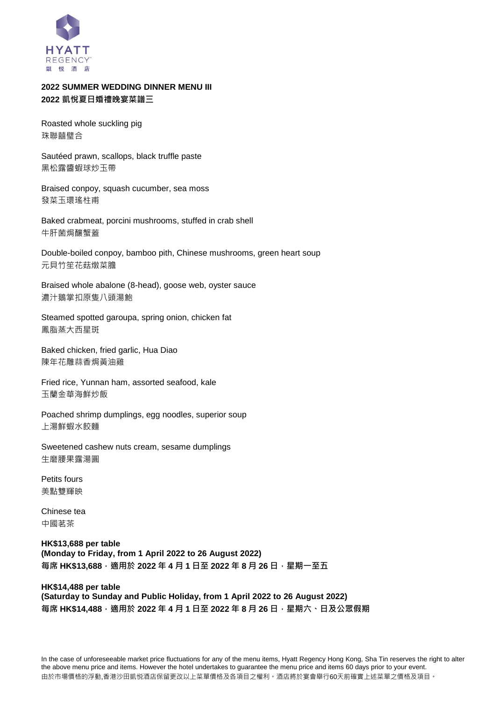

# **2022 SUMMER WEDDING DINNER MENU III 2022 凱悅夏日婚禮晚宴菜譜三**

Roasted whole suckling pig 珠聯囍璧合

Sautéed prawn, scallops, black truffle paste 黑松露醬蝦球炒玉帶

Braised conpoy, squash cucumber, sea moss 發菜玉環瑤柱甫

Baked crabmeat, porcini mushrooms, stuffed in crab shell 牛肝菌焗釀蟹蓋

Double-boiled conpoy, bamboo pith, Chinese mushrooms, green heart soup 元貝竹笙花菇燉菜膽

Braised whole abalone (8-head), goose web, oyster sauce 濃汁鵝掌扣原隻八頭湯鮑

Steamed spotted garoupa, spring onion, chicken fat 鳳脂蒸大西星斑

Baked chicken, fried garlic, Hua Diao 陳年花雕蒜香焗黃油雞

Fried rice, Yunnan ham, assorted seafood, kale 玉蘭金華海鮮炒飯

Poached shrimp dumplings, egg noodles, superior soup 上湯鮮蝦水餃麵

Sweetened cashew nuts cream, sesame dumplings 生磨腰果露湯圓

Petits fours 美點雙輝映

Chinese tea 中國茗茶

**HK\$13,688 per table (Monday to Friday, from 1 April 2022 to 26 August 2022) 每席 HK\$13,688,適用於 2022 年 4 月 1 日至 2022 年 8 月 26 日,星期一至五**

### **HK\$14,488 per table (Saturday to Sunday and Public Holiday, from 1 April 2022 to 26 August 2022) 每席 HK\$14,488,適用於 2022 年 4 月 1 日至 2022 年 8 月 26 日,星期六、日及公眾假期**